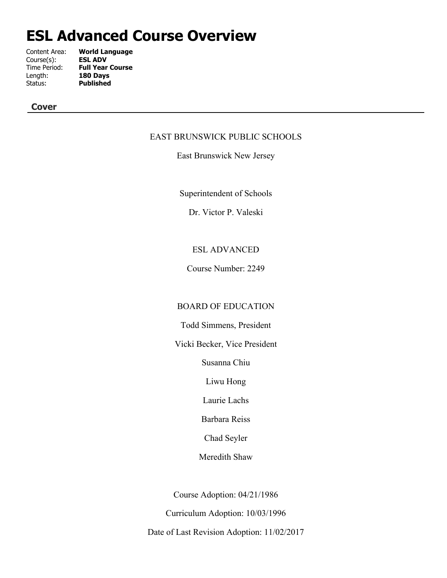# **ESL Advanced Course Overview**

| Content Area: | <b>World Language</b>   |
|---------------|-------------------------|
| Course(s):    | <b>ESL ADV</b>          |
| Time Period:  | <b>Full Year Course</b> |
| Length:       | 180 Days                |
| Status:       | <b>Published</b>        |
|               |                         |

## **Cover**

## EAST BRUNSWICK PUBLIC SCHOOLS

East Brunswick New Jersey

Superintendent of Schools

Dr. Victor P. Valeski

## ESL ADVANCED

Course Number: 2249

## BOARD OF EDUCATION

Todd Simmens, President

Vicki Becker, Vice President

Susanna Chiu

Liwu Hong

Laurie Lachs

Barbara Reiss

Chad Seyler

Meredith Shaw

Course Adoption: 04/21/1986

Curriculum Adoption: 10/03/1996

Date of Last Revision Adoption: 11/02/2017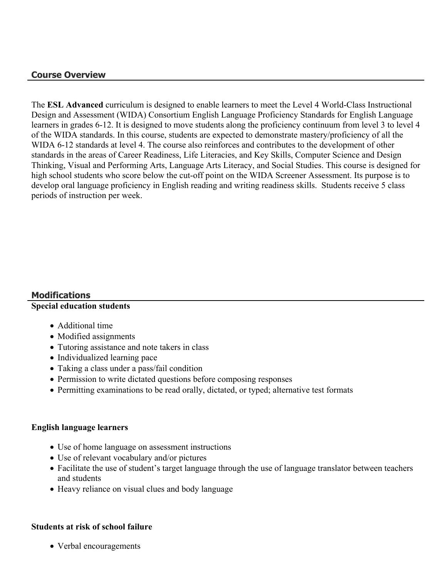## **Course Overview**

The **ESL Advanced** curriculum is designed to enable learners to meet the Level 4 World-Class Instructional Design and Assessment (WIDA) Consortium English Language Proficiency Standards for English Language learners in grades 6-12. It is designed to move students along the proficiency continuum from level 3 to level 4 of the WIDA standards. In this course, students are expected to demonstrate mastery/proficiency of all the WIDA 6-12 standards at level 4. The course also reinforces and contributes to the development of other standards in the areas of Career Readiness, Life Literacies, and Key Skills, Computer Science and Design Thinking, Visual and Performing Arts, Language Arts Literacy, and Social Studies. This course is designed for high school students who score below the cut-off point on the WIDA Screener Assessment. Its purpose is to develop oral language proficiency in English reading and writing readiness skills. Students receive 5 class periods of instruction per week.

## **Modifications**

## **Special education students**

- Additional time
- Modified assignments
- Tutoring assistance and note takers in class
- Individualized learning pace
- Taking a class under a pass/fail condition
- Permission to write dictated questions before composing responses
- Permitting examinations to be read orally, dictated, or typed; alternative test formats

#### **English language learners**

- Use of home language on assessment instructions
- Use of relevant vocabulary and/or pictures
- Facilitate the use of student's target language through the use of language translator between teachers and students
- Heavy reliance on visual clues and body language

#### **Students at risk of school failure**

• Verbal encouragements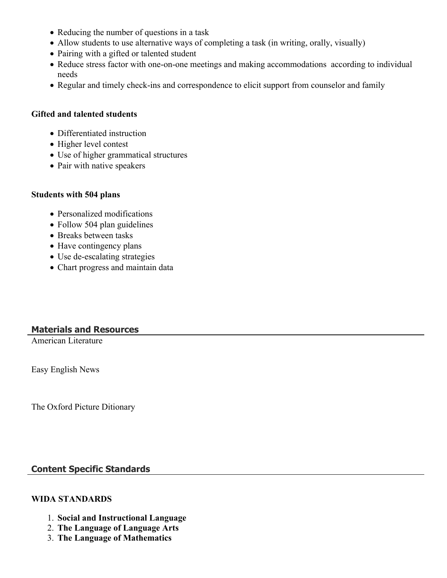- Reducing the number of questions in a task
- Allow students to use alternative ways of completing a task (in writing, orally, visually)
- Pairing with a gifted or talented student
- Reduce stress factor with one-on-one meetings and making accommodations according to individual needs
- Regular and timely check-ins and correspondence to elicit support from counselor and family

## **Gifted and talented students**

- Differentiated instruction
- Higher level contest
- Use of higher grammatical structures
- Pair with native speakers

## **Students with 504 plans**

- Personalized modifications
- Follow 504 plan guidelines
- Breaks between tasks
- Have contingency plans
- Use de-escalating strategies
- Chart progress and maintain data

## **Materials and Resources**

American Literature

Easy English News

The Oxford Picture Ditionary

## **Content Specific Standards**

## **WIDA STANDARDS**

- 1. **Social and Instructional Language**
- 2. **The Language of Language Arts**
- 3. **The Language of Mathematics**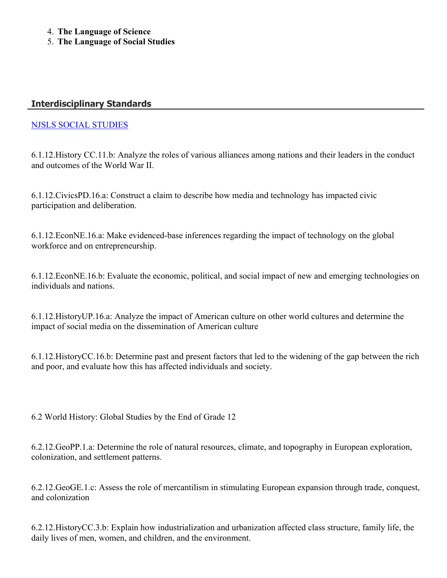- 4. **The Language of Science**
- 5. **The Language of Social Studies**

## **Interdisciplinary Standards**

## [NJSLS SOCIAL STUDIES](https://www.nj.gov/education/cccs/2020/2020%20NJSLS-SS.pdf)

6.1.12.History CC.11.b: Analyze the roles of various alliances among nations and their leaders in the conduct and outcomes of the World War II.

6.1.12.CivicsPD.16.a: Construct a claim to describe how media and technology has impacted civic participation and deliberation.

6.1.12.EconNE.16.a: Make evidenced-base inferences regarding the impact of technology on the global workforce and on entrepreneurship.

6.1.12.EconNE.16.b: Evaluate the economic, political, and social impact of new and emerging technologies on individuals and nations.

6.1.12.HistoryUP.16.a: Analyze the impact of American culture on other world cultures and determine the impact of social media on the dissemination of American culture

6.1.12.HistoryCC.16.b: Determine past and present factors that led to the widening of the gap between the rich and poor, and evaluate how this has affected individuals and society.

6.2 World History: Global Studies by the End of Grade 12

6.2.12.GeoPP.1.a: Determine the role of natural resources, climate, and topography in European exploration, colonization, and settlement patterns.

6.2.12.GeoGE.1.c: Assess the role of mercantilism in stimulating European expansion through trade, conquest, and colonization

6.2.12.HistoryCC.3.b: Explain how industrialization and urbanization affected class structure, family life, the daily lives of men, women, and children, and the environment.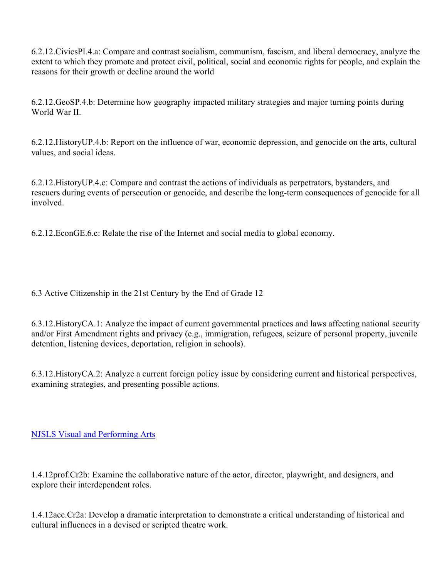6.2.12.CivicsPI.4.a: Compare and contrast socialism, communism, fascism, and liberal democracy, analyze the extent to which they promote and protect civil, political, social and economic rights for people, and explain the reasons for their growth or decline around the world

6.2.12.GeoSP.4.b: Determine how geography impacted military strategies and major turning points during World War II

6.2.12.HistoryUP.4.b: Report on the influence of war, economic depression, and genocide on the arts, cultural values, and social ideas.

6.2.12.HistoryUP.4.c: Compare and contrast the actions of individuals as perpetrators, bystanders, and rescuers during events of persecution or genocide, and describe the long-term consequences of genocide for all involved.

6.2.12.EconGE.6.c: Relate the rise of the Internet and social media to global economy.

6.3 Active Citizenship in the 21st Century by the End of Grade 12

6.3.12.HistoryCA.1: Analyze the impact of current governmental practices and laws affecting national security and/or First Amendment rights and privacy (e.g., immigration, refugees, seizure of personal property, juvenile detention, listening devices, deportation, religion in schools).

6.3.12.HistoryCA.2: Analyze a current foreign policy issue by considering current and historical perspectives, examining strategies, and presenting possible actions.

[NJSLS Visual and Performing Arts](https://www.nj.gov/education/cccs/2020/2020%20NJSLS-VPA.pdf)

1.4.12prof.Cr2b: Examine the collaborative nature of the actor, director, playwright, and designers, and explore their interdependent roles.

1.4.12acc.Cr2a: Develop a dramatic interpretation to demonstrate a critical understanding of historical and cultural influences in a devised or scripted theatre work.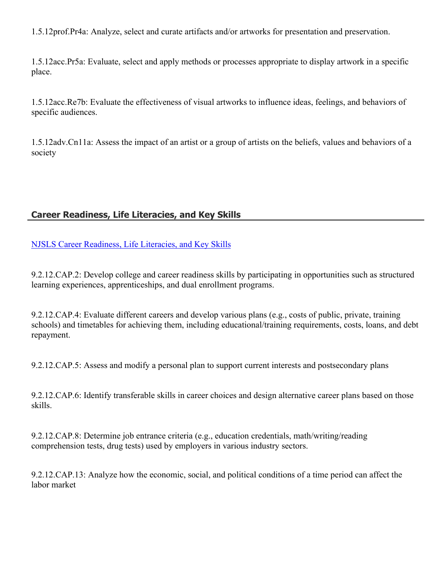1.5.12prof.Pr4a: Analyze, select and curate artifacts and/or artworks for presentation and preservation.

1.5.12acc.Pr5a: Evaluate, select and apply methods or processes appropriate to display artwork in a specific place.

1.5.12acc.Re7b: Evaluate the effectiveness of visual artworks to influence ideas, feelings, and behaviors of specific audiences.

1.5.12adv.Cn11a: Assess the impact of an artist or a group of artists on the beliefs, values and behaviors of a society

## **Career Readiness, Life Literacies, and Key Skills**

[NJSLS Career Readiness, Life Literacies, and Key Skills](https://www.nj.gov/education/cccs/2020/2020%20NJSLS-CLKS.pdf)

9.2.12.CAP.2: Develop college and career readiness skills by participating in opportunities such as structured learning experiences, apprenticeships, and dual enrollment programs.

9.2.12.CAP.4: Evaluate different careers and develop various plans (e.g., costs of public, private, training schools) and timetables for achieving them, including educational/training requirements, costs, loans, and debt repayment.

9.2.12.CAP.5: Assess and modify a personal plan to support current interests and postsecondary plans

9.2.12.CAP.6: Identify transferable skills in career choices and design alternative career plans based on those skills.

9.2.12.CAP.8: Determine job entrance criteria (e.g., education credentials, math/writing/reading comprehension tests, drug tests) used by employers in various industry sectors.

9.2.12.CAP.13: Analyze how the economic, social, and political conditions of a time period can affect the labor market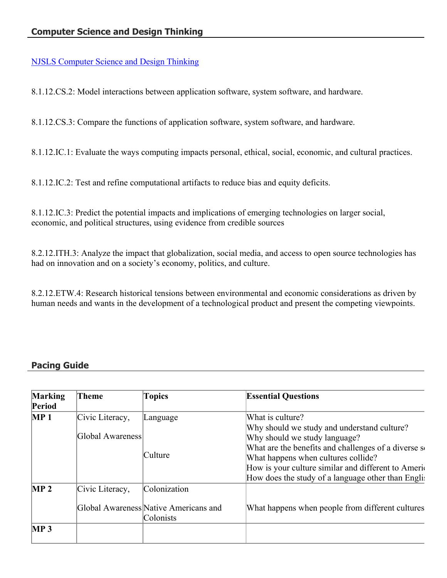[NJSLS Computer Science and Design Thinking](https://www.state.nj.us/education/cccs/2020/2020%20NJSLS-CSDT.pdf)

8.1.12.CS.2: Model interactions between application software, system software, and hardware.

8.1.12.CS.3: Compare the functions of application software, system software, and hardware.

8.1.12.IC.1: Evaluate the ways computing impacts personal, ethical, social, economic, and cultural practices.

8.1.12.IC.2: Test and refine computational artifacts to reduce bias and equity deficits.

8.1.12.IC.3: Predict the potential impacts and implications of emerging technologies on larger social, economic, and political structures, using evidence from credible sources

8.2.12.ITH.3: Analyze the impact that globalization, social media, and access to open source technologies has had on innovation and on a society's economy, politics, and culture.

8.2.12.ETW.4: Research historical tensions between environmental and economic considerations as driven by human needs and wants in the development of a technological product and present the competing viewpoints.

## **Pacing Guide**

| <b>Marking</b><br>Period | Theme                               | <b>Topics</b>                                      | <b>Essential Questions</b>                                                                                                                                                                                                                             |
|--------------------------|-------------------------------------|----------------------------------------------------|--------------------------------------------------------------------------------------------------------------------------------------------------------------------------------------------------------------------------------------------------------|
| MP <sub>1</sub>          | Civic Literacy,<br>Global Awareness | Language<br>Culture                                | What is culture?<br>Why should we study and understand culture?<br>Why should we study language?<br>What are the benefits and challenges of a diverse so<br>What happens when cultures collide?<br>How is your culture similar and different to Americ |
| MP <sub>2</sub>          | Civic Literacy,                     | Colonization                                       | How does the study of a language other than Englist                                                                                                                                                                                                    |
|                          |                                     | Global Awareness Native Americans and<br>Colonists | What happens when people from different cultures                                                                                                                                                                                                       |
| MP <sub>3</sub>          |                                     |                                                    |                                                                                                                                                                                                                                                        |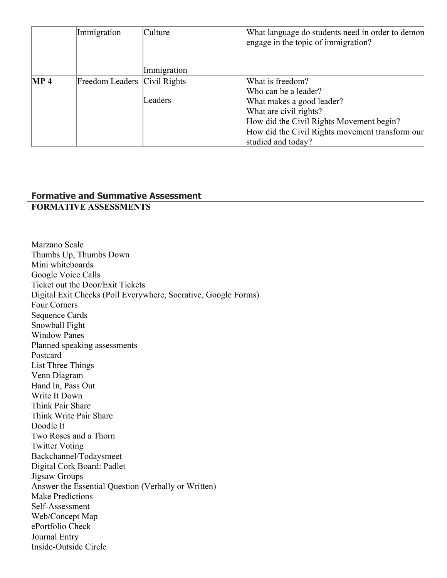|                 | Immigration                  | Culture     | What language do students need in order to demon<br>engage in the topic of immigration? |
|-----------------|------------------------------|-------------|-----------------------------------------------------------------------------------------|
|                 |                              | Immigration |                                                                                         |
| MP <sub>4</sub> | Freedom Leaders Civil Rights |             | What is freedom?                                                                        |
|                 |                              |             | Who can be a leader?                                                                    |
|                 |                              | Leaders     | What makes a good leader?                                                               |
|                 |                              |             | What are civil rights?                                                                  |
|                 |                              |             | How did the Civil Rights Movement begin?                                                |
|                 |                              |             | How did the Civil Rights movement transform our                                         |
|                 |                              |             | studied and today?                                                                      |

## **Formative and Summative Assessment**

## **FORMATIVE ASSESSMENTS**

Marzano Scale Thumbs Up, Thumbs Down Mini whiteboards Google Voice Calls Ticket out the Door/Exit Tickets Digital Exit Checks (Poll Everywhere, Socrative, Google Forms) Four Corners Sequence Cards Snowball Fight Window Panes Planned speaking assessments Postcard List Three Things Venn Diagram Hand In, Pass Out Write It Down Think Pair Share Think Write Pair Share Doodle It Two Roses and a Thorn Twitter Voting Backchannel/Todaysmeet Digital Cork Board: Padlet Jigsaw Groups Answer the Essential Question (Verbally or Written) Make Predictions Self-Assessment Web/Concept Map ePortfolio Check Journal Entry Inside-Outside Circle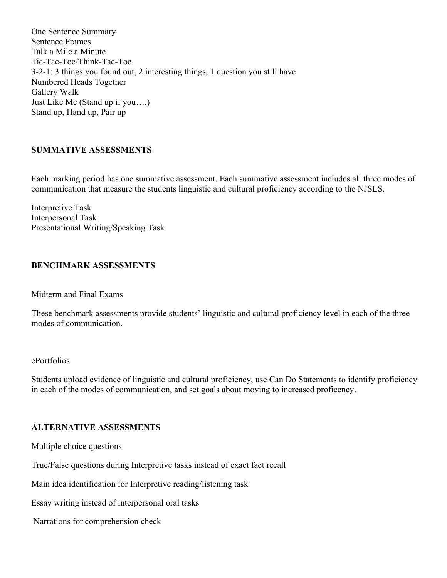One Sentence Summary Sentence Frames Talk a Mile a Minute Tic-Tac-Toe/Think-Tac-Toe 3-2-1: 3 things you found out, 2 interesting things, 1 question you still have Numbered Heads Together Gallery Walk Just Like Me (Stand up if you….) Stand up, Hand up, Pair up

## **SUMMATIVE ASSESSMENTS**

Each marking period has one summative assessment. Each summative assessment includes all three modes of communication that measure the students linguistic and cultural proficiency according to the NJSLS.

Interpretive Task Interpersonal Task Presentational Writing/Speaking Task

## **BENCHMARK ASSESSMENTS**

Midterm and Final Exams

These benchmark assessments provide students' linguistic and cultural proficiency level in each of the three modes of communication.

### ePortfolios

Students upload evidence of linguistic and cultural proficiency, use Can Do Statements to identify proficiency in each of the modes of communication, and set goals about moving to increased proficency.

## **ALTERNATIVE ASSESSMENTS**

Multiple choice questions

True/False questions during Interpretive tasks instead of exact fact recall

Main idea identification for Interpretive reading/listening task

Essay writing instead of interpersonal oral tasks

Narrations for comprehension check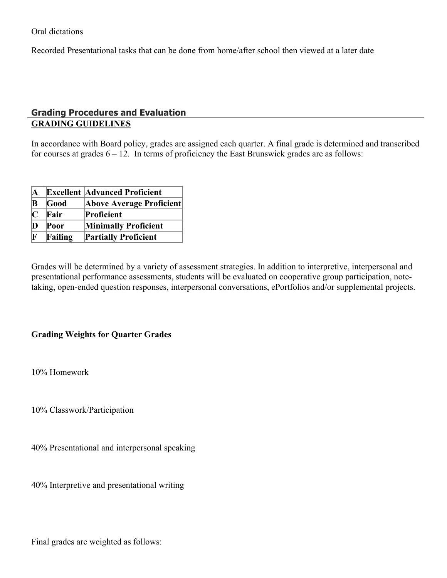Oral dictations

Recorded Presentational tasks that can be done from home/after school then viewed at a later date

## **Grading Procedures and Evaluation GRADING GUIDELINES**

In accordance with Board policy, grades are assigned each quarter. A final grade is determined and transcribed for courses at grades  $6 - 12$ . In terms of proficiency the East Brunswick grades are as follows:

| A           |         | <b>Excellent Advanced Proficient</b> |
|-------------|---------|--------------------------------------|
| $\mathbf B$ | Good    | <b>Above Average Proficient</b>      |
| $\mathbf C$ | Fair    | Proficient                           |
| $\bf{D}$    | Poor    | <b>Minimally Proficient</b>          |
| F           | Failing | <b>Partially Proficient</b>          |

Grades will be determined by a variety of assessment strategies. In addition to interpretive, interpersonal and presentational performance assessments, students will be evaluated on cooperative group participation, notetaking, open-ended question responses, interpersonal conversations, ePortfolios and/or supplemental projects.

## **Grading Weights for Quarter Grades**

10% Homework

10% Classwork/Participation

40% Presentational and interpersonal speaking

40% Interpretive and presentational writing

Final grades are weighted as follows: